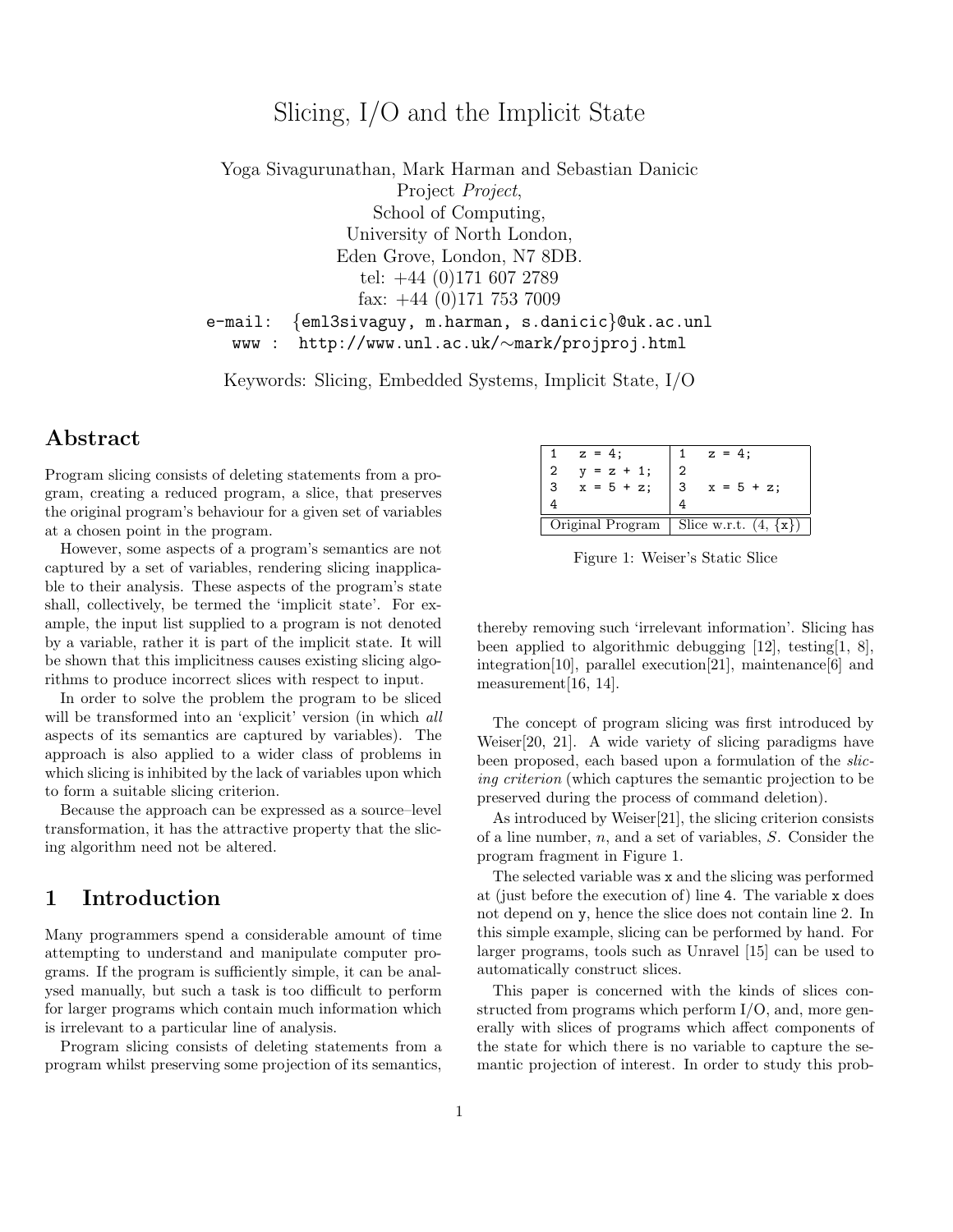# Slicing, I/O and the Implicit State

Yoga Sivagurunathan, Mark Harman and Sebastian Danicic Project Project, School of Computing, University of North London, Eden Grove, London, N7 8DB. tel: +44 (0)171 607 2789 fax: +44 (0)171 753 7009 e-mail: {eml3sivaguy, m.harman, s.danicic}@uk.ac.unl www : http://www.unl.ac.uk/∼mark/projproj.html

Keywords: Slicing, Embedded Systems, Implicit State, I/O

## Abstract

Program slicing consists of deleting statements from a program, creating a reduced program, a slice, that preserves the original program's behaviour for a given set of variables at a chosen point in the program.

However, some aspects of a program's semantics are not captured by a set of variables, rendering slicing inapplicable to their analysis. These aspects of the program's state shall, collectively, be termed the 'implicit state'. For example, the input list supplied to a program is not denoted by a variable, rather it is part of the implicit state. It will be shown that this implicitness causes existing slicing algorithms to produce incorrect slices with respect to input.

In order to solve the problem the program to be sliced will be transformed into an 'explicit' version (in which all aspects of its semantics are captured by variables). The approach is also applied to a wider class of problems in which slicing is inhibited by the lack of variables upon which to form a suitable slicing criterion.

Because the approach can be expressed as a source–level transformation, it has the attractive property that the slicing algorithm need not be altered.

## 1 Introduction

Many programmers spend a considerable amount of time attempting to understand and manipulate computer programs. If the program is sufficiently simple, it can be analysed manually, but such a task is too difficult to perform for larger programs which contain much information which is irrelevant to a particular line of analysis.

Program slicing consists of deleting statements from a program whilst preserving some projection of its semantics,

|                  | $z = 4$ :     | $z = 4$ ;                 |
|------------------|---------------|---------------------------|
| 2                | $y = z + 1$ ; |                           |
| 3                | $x = 5 + z$ ; | 3<br>$x = 5 + z$ ;        |
|                  |               |                           |
| Original Program |               | Slice w.r.t. $(4, \{x\})$ |

Figure 1: Weiser's Static Slice

thereby removing such 'irrelevant information'. Slicing has been applied to algorithmic debugging [12], testing[1, 8], integration[10], parallel execution[21], maintenance[6] and measurement[16, 14].

The concept of program slicing was first introduced by Weiser[20, 21]. A wide variety of slicing paradigms have been proposed, each based upon a formulation of the *slic*ing criterion (which captures the semantic projection to be preserved during the process of command deletion).

As introduced by Weiser[21], the slicing criterion consists of a line number,  $n$ , and a set of variables,  $S$ . Consider the program fragment in Figure 1.

The selected variable was x and the slicing was performed at (just before the execution of) line 4. The variable x does not depend on y, hence the slice does not contain line 2. In this simple example, slicing can be performed by hand. For larger programs, tools such as Unravel [15] can be used to automatically construct slices.

This paper is concerned with the kinds of slices constructed from programs which perform I/O, and, more generally with slices of programs which affect components of the state for which there is no variable to capture the semantic projection of interest. In order to study this prob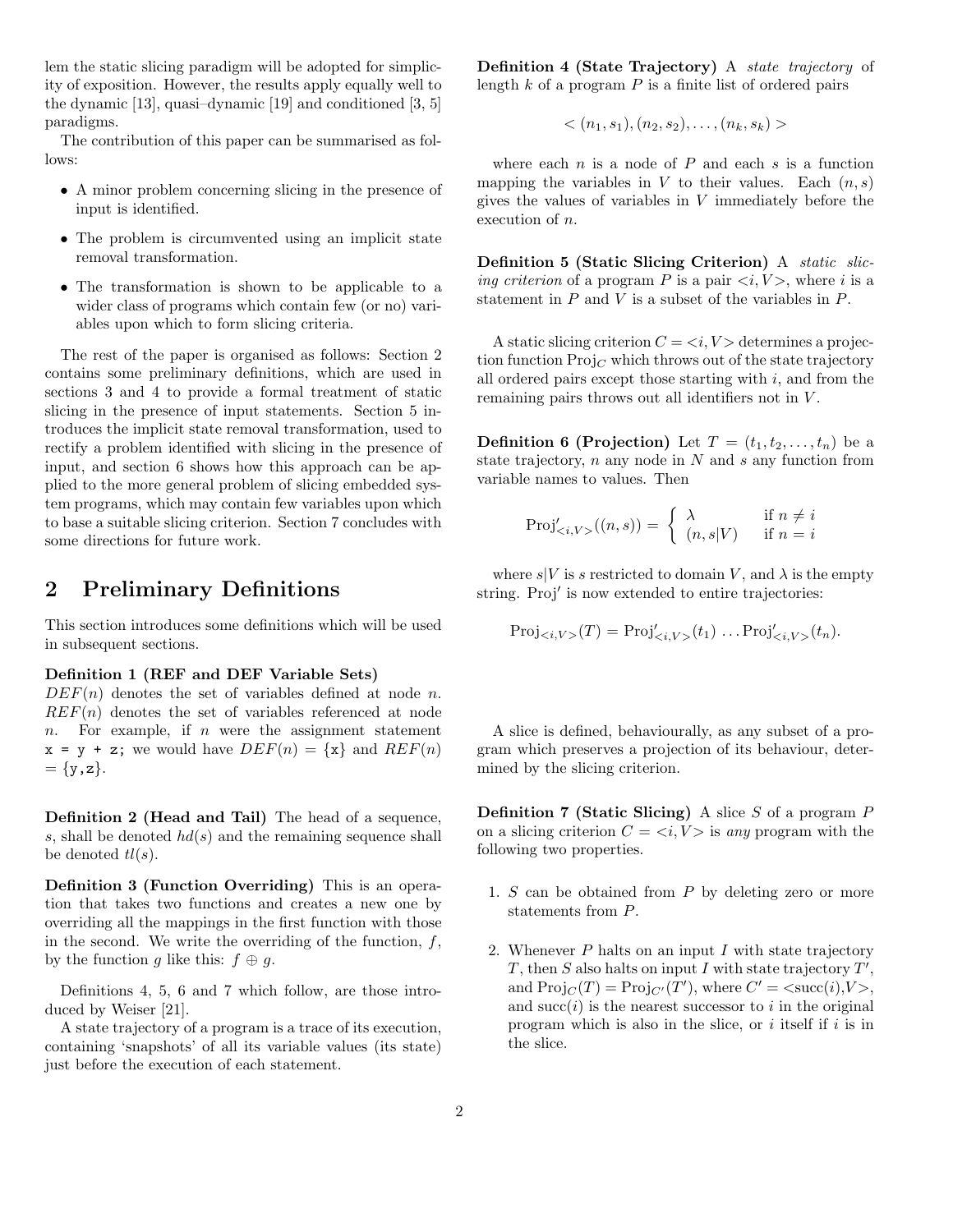lem the static slicing paradigm will be adopted for simplicity of exposition. However, the results apply equally well to the dynamic [13], quasi–dynamic [19] and conditioned [3, 5] paradigms.

The contribution of this paper can be summarised as follows:

- A minor problem concerning slicing in the presence of input is identified.
- The problem is circumvented using an implicit state removal transformation.
- The transformation is shown to be applicable to a wider class of programs which contain few (or no) variables upon which to form slicing criteria.

The rest of the paper is organised as follows: Section 2 contains some preliminary definitions, which are used in sections 3 and 4 to provide a formal treatment of static slicing in the presence of input statements. Section 5 introduces the implicit state removal transformation, used to rectify a problem identified with slicing in the presence of input, and section 6 shows how this approach can be applied to the more general problem of slicing embedded system programs, which may contain few variables upon which to base a suitable slicing criterion. Section 7 concludes with some directions for future work.

## 2 Preliminary Definitions

This section introduces some definitions which will be used in subsequent sections.

#### Definition 1 (REF and DEF Variable Sets)

 $DEF(n)$  denotes the set of variables defined at node n.  $REF(n)$  denotes the set of variables referenced at node  $n.$  For example, if  $n$  were the assignment statement  $x = y + z$ ; we would have  $DEF(n) = \{x\}$  and  $REF(n)$  $= {y, z}.$ 

Definition 2 (Head and Tail) The head of a sequence, s, shall be denoted  $hd(s)$  and the remaining sequence shall be denoted  $tl(s)$ .

Definition 3 (Function Overriding) This is an operation that takes two functions and creates a new one by overriding all the mappings in the first function with those in the second. We write the overriding of the function,  $f$ , by the function q like this:  $f \oplus q$ .

Definitions 4, 5, 6 and 7 which follow, are those introduced by Weiser [21].

A state trajectory of a program is a trace of its execution, containing 'snapshots' of all its variable values (its state) just before the execution of each statement.

Definition 4 (State Trajectory) A state trajectory of length  $k$  of a program  $P$  is a finite list of ordered pairs

$$
\langle (n_1, s_1), (n_2, s_2), \ldots, (n_k, s_k) \rangle
$$

where each  $n$  is a node of  $P$  and each  $s$  is a function mapping the variables in V to their values. Each  $(n, s)$ gives the values of variables in V immediately before the execution of n.

Definition 5 (Static Slicing Criterion) A static slicing criterion of a program P is a pair  $\langle i, V \rangle$ , where i is a statement in  $P$  and  $V$  is a subset of the variables in  $P$ .

A static slicing criterion  $C = \langle i, V \rangle$  determines a projection function  $\text{Proj}_C$  which throws out of the state trajectory all ordered pairs except those starting with  $i$ , and from the remaining pairs throws out all identifiers not in V.

**Definition 6 (Projection)** Let  $T = (t_1, t_2, \ldots, t_n)$  be a state trajectory,  $n$  any node in  $N$  and  $s$  any function from variable names to values. Then

$$
Proj'_{\leq i,V>}((n,s)) = \begin{cases} \lambda & \text{if } n \neq i \\ (n,s|V) & \text{if } n = i \end{cases}
$$

where  $s|V$  is s restricted to domain V, and  $\lambda$  is the empty string. Proj' is now extended to entire trajectories:

$$
Proj_{\langle i,V \rangle}(T) = Proj'_{\langle i,V \rangle}(t_1) \dots Proj'_{\langle i,V \rangle}(t_n).
$$

A slice is defined, behaviourally, as any subset of a program which preserves a projection of its behaviour, determined by the slicing criterion.

**Definition 7 (Static Slicing)** A slice S of a program  $P$ on a slicing criterion  $C = \langle i, V \rangle$  is any program with the following two properties.

- 1.  $S$  can be obtained from  $P$  by deleting zero or more statements from P.
- 2. Whenever  $P$  halts on an input  $I$  with state trajectory T, then S also halts on input I with state trajectory  $T'$ , and  $\text{Proj}_C(T) = \text{Proj}_{C'}(T')$ , where  $C' = \langle \text{succ}(i), V \rangle$ , and  $succ(i)$  is the nearest successor to i in the original program which is also in the slice, or  $i$  itself if  $i$  is in the slice.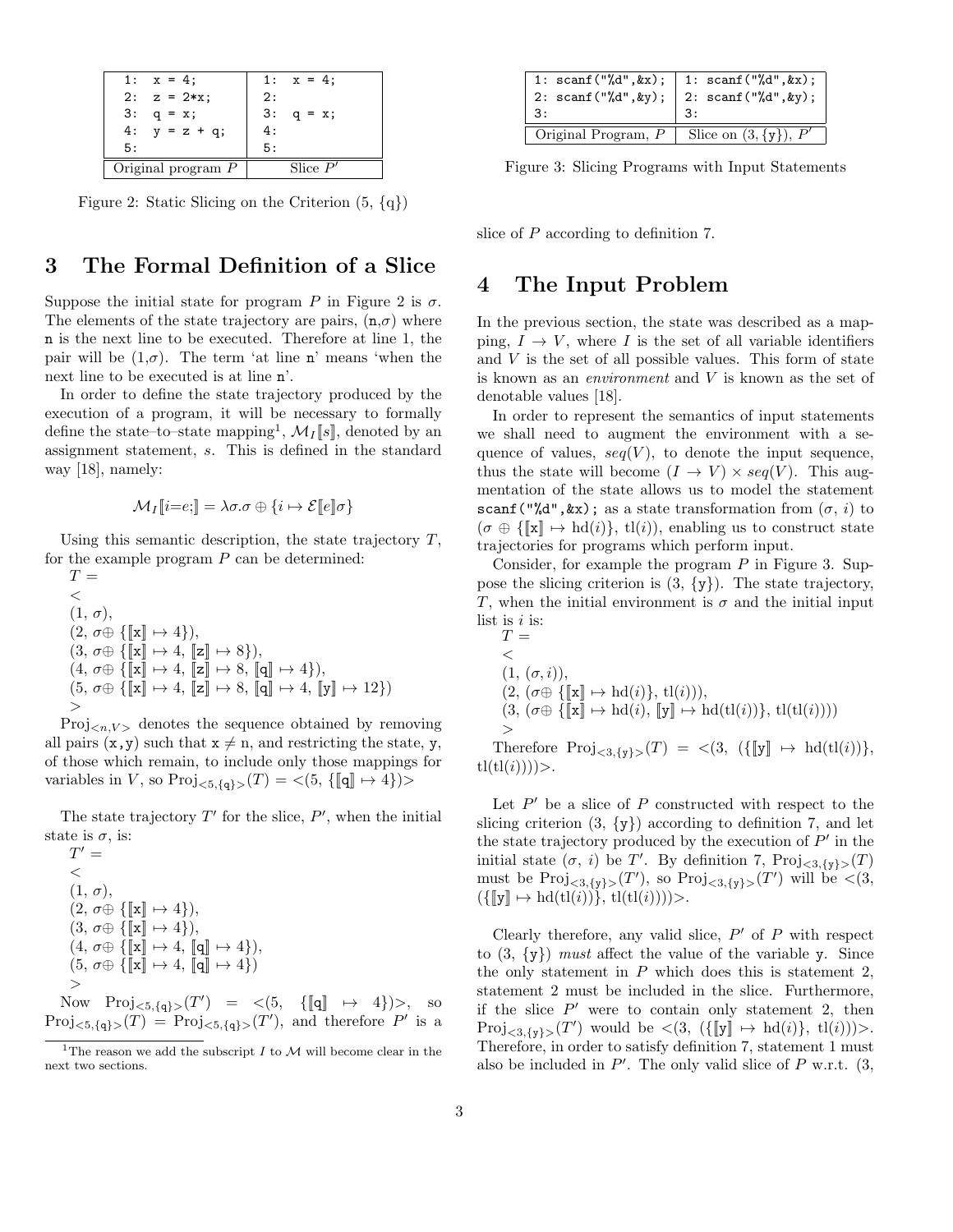| 1: $x = 4$ ;         | 1: $x = 4$ ;   |
|----------------------|----------------|
| $2: z = 2*x;$        | 2:             |
| 3:<br>$q = x;$       | 3:<br>$q = x;$ |
| 4: $y = z + q$ ;     | 4 :            |
| 5:                   | 5 :            |
| Original program $P$ | Slice $P'$     |

Figure 2: Static Slicing on the Criterion  $(5, \{q\})$ 

## 3 The Formal Definition of a Slice

Suppose the initial state for program P in Figure 2 is  $\sigma$ . The elements of the state trajectory are pairs,  $(n,\sigma)$  where n is the next line to be executed. Therefore at line 1, the pair will be  $(1,\sigma)$ . The term 'at line n' means 'when the next line to be executed is at line n'.

In order to define the state trajectory produced by the execution of a program, it will be necessary to formally define the state–to–state mapping<sup>1</sup>,  $\mathcal{M}_I[\![s]\!]$ , denoted by an assignment statement, s. This is defined in the standard way [18], namely:

$$
\mathcal{M}_I[\![i=e;]\!] = \lambda \sigma.\sigma \oplus \{i \mapsto \mathcal{E}[\![e]\!] \sigma\}
$$

Using this semantic description, the state trajectory  $T$ , for the example program  $P$  can be determined:

 $T =$  $<\,$  $(1, \sigma)$ ,  $(2, \sigma \oplus \{\llbracket \mathbf{x} \rrbracket \mapsto 4\}),$  $(3, \sigma \oplus \{ \llbracket \mathbf{x} \rrbracket \mapsto 4, \llbracket \mathbf{z} \rrbracket \mapsto 8 \}),$  $(4, \sigma \oplus \{ \llbracket \mathbf{x} \rrbracket \mapsto 4, \llbracket \mathbf{z} \rrbracket \mapsto 8, \llbracket \mathbf{q} \rrbracket \mapsto 4 \}),$  $(5, \sigma \oplus {\mathbb{K}} \times ] \mapsto 4, {\mathbb{K}} \times ] \mapsto 8, {\mathbb{K}} \times ] \mapsto 4, {\mathbb{K}} \times ] \mapsto 12$ >

 $Proj_{\langle n,V \rangle}$  denotes the sequence obtained by removing all pairs  $(x, y)$  such that  $x \neq n$ , and restricting the state, y, of those which remain, to include only those mappings for variables in V, so  $\text{Proj}_{\leq 5,\{q\}>}(\mathcal{T}) = \leq (5, \{[\![q]\!] \mapsto 4\})$ 

The state trajectory  $T'$  for the slice,  $P'$ , when the initial state is  $\sigma$ , is:

$$
T' = \n\n(1, \sigma),\n(2, \sigma \oplus \{ [\mathbf{x}] \mapsto 4 \}),\n(3, \sigma \oplus \{ [\mathbf{x}] \mapsto 4 \}),\n(4, \sigma \oplus \{ [\mathbf{x}] \mapsto 4, [\mathbf{q}] \mapsto 4 \}),\n(5, \sigma \oplus \{ [\mathbf{x}] \mapsto 4, [\mathbf{q}] \mapsto 4 \})\n>Now Proj_{< 5, \{q\} >}(T') = < (5, \{ [\mathbf{q}] \mapsto \}
$$

 $\{4\}$ ) $>$ , so  $Proj_{\leq 5,\{q\}>}(T) = Proj_{\leq 5,\{q\}>}(T')$ , and therefore P' is a

| 1: scanf("%d", &x);   1: scanf("%d", &x);<br>2: scanf("%d", &y);   2: scanf("%d", &y); |                            |
|----------------------------------------------------------------------------------------|----------------------------|
| 3:                                                                                     |                            |
| Original Program, P                                                                    | Slice on $(3, \{y\})$ , P' |

Figure 3: Slicing Programs with Input Statements

slice of P according to definition 7.

### 4 The Input Problem

In the previous section, the state was described as a mapping,  $I \rightarrow V$ , where I is the set of all variable identifiers and  $V$  is the set of all possible values. This form of state is known as an environment and V is known as the set of denotable values [18].

In order to represent the semantics of input statements we shall need to augment the environment with a sequence of values,  $seq(V)$ , to denote the input sequence, thus the state will become  $(I \to V) \times seq(V)$ . This augmentation of the state allows us to model the statement scanf("","",  $kx$ ); as a state transformation from  $(\sigma, i)$  to  $(\sigma \oplus {\{\mathbf{x}\}\mapsto \mathrm{hd}(i)\}, \mathrm{tl}(i))$ , enabling us to construct state trajectories for programs which perform input.

Consider, for example the program  $P$  in Figure 3. Suppose the slicing criterion is  $(3, \{y\})$ . The state trajectory, T, when the initial environment is  $\sigma$  and the initial input list is  $i$  is:

$$
T = \n\n(1, (\sigma, i)),\n(2, (\sigma \oplus \{\llbracket \mathbf{x} \rrbracket \mapsto \mathrm{hd}(i)\}, \mathrm{tl}(i))),\n(3, (\sigma \oplus \{\llbracket \mathbf{x} \rrbracket \mapsto \mathrm{hd}(i), \llbracket \mathbf{y} \rrbracket \mapsto \mathrm{hd}(\mathrm{tl}(i))\}, \mathrm{tl}(\mathrm{tl}(i))))\n> \n
$$
T = \n\begin{bmatrix}\nT & \text{if } (T) & \text{if } (T) & \text{if } (T) & \text{if } (T) & \text{if } (T) & \text{if } (T) & \text{if } (T) & \text{if } (T) & \text{if } (T) & \text{if } (T) & \text{if } (T) & \text{if } (T) & \text{if } (T) & \text{if } (T) & \text{if } (T) & \text{if } (T) & \text{if } (T) & \text{if } (T) & \text{if } (T) & \text{if } (T) & \text{if } (T) & \text{if } (T) & \text{if } (T) & \text{if } (T) & \text{if } (T) & \text{if } (T) & \text{if } (T) & \text{if } (T) & \text{if } (T) & \text{if } (T) & \text{if } (T) & \text{if } (T) & \text{if } (T) & \text{if } (T) & \text{if } (T) & \text{if } (T) & \text{if } (T) & \text{if } (T) & \text{if } (T) & \text{if } (T) & \text{if } (T) & \text{if } (T) & \text{if } (T) & \text{if } (T) & \text{if } (T) & \text{if } (T) & \text{if } (T) & \text{if } (T) & \text{if } (T) & \text{if } (T) & \text{if } (T) & \text{if } (T) & \text{if } (T) & \text{if } (T) & \text{if } (T) & \text{if } (T) & \text{if } (T) & \text{if } (T) & \text{if } (T) & \text{if } (T) & \text{if } (T) & \text{if } (T) & \text{if } (T) & \text{if } (T) & \text{if } (T) & \text{if } (T) &
$$
$$

Therefore  $\text{Proj}_{\leq 3, \{y\}>}(\mathcal{T}) = \langle 3, (\{\llbracket y \rrbracket \mapsto \text{hd}(\text{tl}(i))\},\$  $tl(tl(i))))$ .

Let  $P'$  be a slice of  $P$  constructed with respect to the slicing criterion  $(3, \{y\})$  according to definition 7, and let the state trajectory produced by the execution of  $P'$  in the initial state  $(\sigma, i)$  be T'. By definition 7,  $\text{Proj}_{\leq 3, \{y\}>}(\mathcal{T})$ must be  $\text{Proj}_{\leq 3, \{y\}>}(\mathcal{T}')$ , so  $\text{Proj}_{\leq 3, \{y\}>}(\mathcal{T}')$  will be  $\leq (3, \{y\})$  $({\{\llbracket y \rrbracket \mapsto \text{hd}(\text{tl}(i))\}, \text{tl}(\text{tl}(i))))$ .

Clearly therefore, any valid slice,  $P'$  of  $P$  with respect to  $(3, \{y\})$  must affect the value of the variable y. Since the only statement in  $P$  which does this is statement 2, statement 2 must be included in the slice. Furthermore, if the slice  $P'$  were to contain only statement 2, then  $Proj_{\leq 3,\{y\}>}(T')$  would be  $\leq (3, (\{\llbracket y \rrbracket \mapsto \text{hd}(i)\}, \text{tl}(i)))>$ . Therefore, in order to satisfy definition 7, statement 1 must also be included in  $P'$ . The only valid slice of  $P$  w.r.t.  $(3, 1)$ 

<sup>&</sup>lt;sup>1</sup>The reason we add the subscript  $I$  to  $M$  will become clear in the next two sections.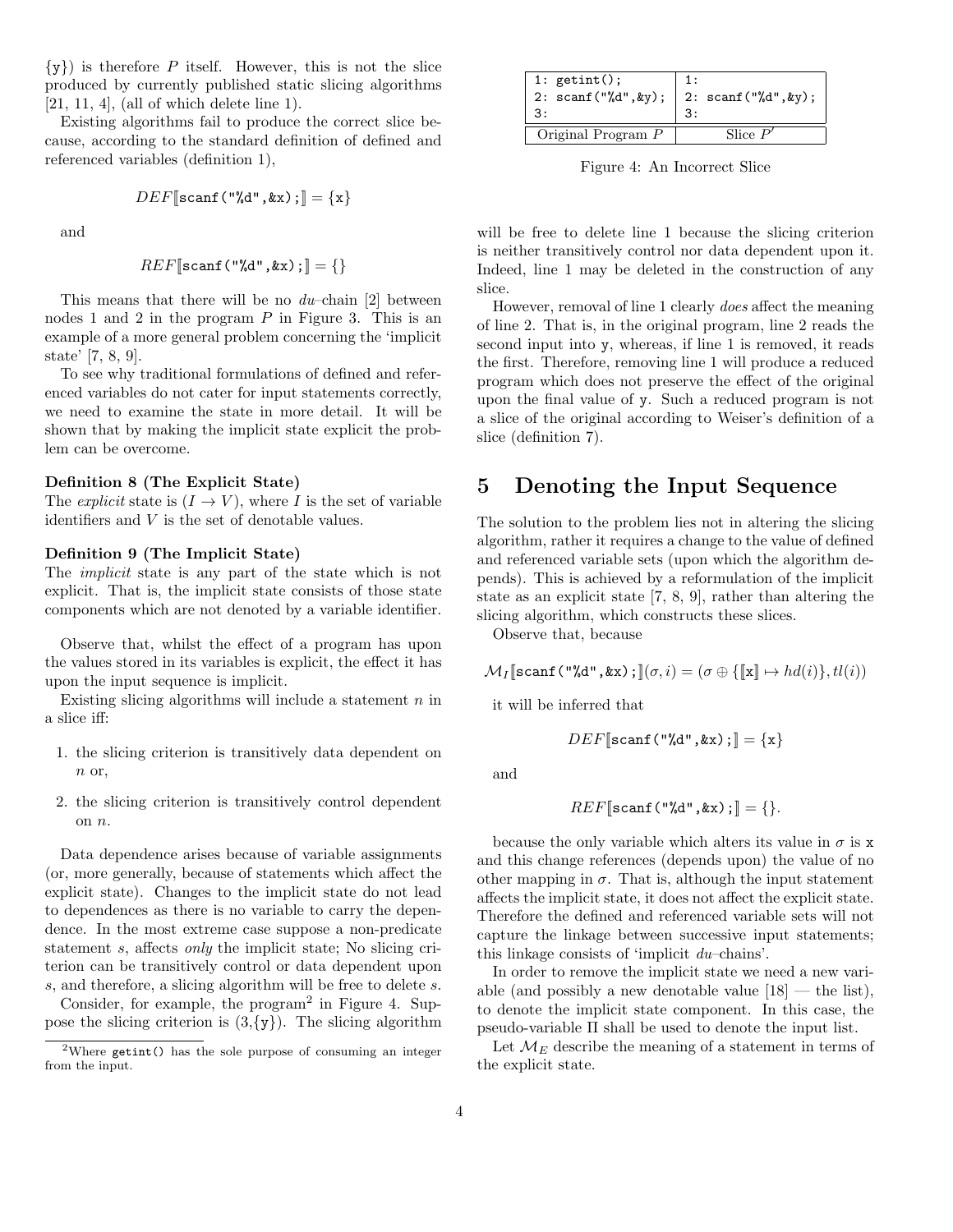$\{y\}$  is therefore P itself. However, this is not the slice produced by currently published static slicing algorithms  $[21, 11, 4]$ , (all of which delete line 1).

Existing algorithms fail to produce the correct slice because, according to the standard definition of defined and referenced variables (definition 1),

$$
DEF[\text{scanf}("%d", \&x) ; ] = \{x\}
$$

and

$$
REF[\texttt{scanf("%d",@x)}:] = \{\}
$$

This means that there will be no  $du$ -chain [2] between nodes 1 and 2 in the program  $P$  in Figure 3. This is an example of a more general problem concerning the 'implicit state' [7, 8, 9].

To see why traditional formulations of defined and referenced variables do not cater for input statements correctly, we need to examine the state in more detail. It will be shown that by making the implicit state explicit the problem can be overcome.

#### Definition 8 (The Explicit State)

The *explicit* state is  $(I \rightarrow V)$ , where I is the set of variable identifiers and V is the set of denotable values.

#### Definition 9 (The Implicit State)

The implicit state is any part of the state which is not explicit. That is, the implicit state consists of those state components which are not denoted by a variable identifier.

Observe that, whilst the effect of a program has upon the values stored in its variables is explicit, the effect it has upon the input sequence is implicit.

Existing slicing algorithms will include a statement  $n$  in a slice iff:

- 1. the slicing criterion is transitively data dependent on n or.
- 2. the slicing criterion is transitively control dependent on n.

Data dependence arises because of variable assignments (or, more generally, because of statements which affect the explicit state). Changes to the implicit state do not lead to dependences as there is no variable to carry the dependence. In the most extreme case suppose a non-predicate statement s, affects only the implicit state; No slicing criterion can be transitively control or data dependent upon s, and therefore, a slicing algorithm will be free to delete s.

Consider, for example, the program<sup>2</sup> in Figure 4. Suppose the slicing criterion is  $(3,\{y\})$ . The slicing algorithm

| 1: $getint()$ ;<br>2: $\text{scanf}("%d", \text{ky});$ 2: $\text{scanf}("%d", \text{ky});$ | 1 :        |
|--------------------------------------------------------------------------------------------|------------|
| Original Program $P$                                                                       | Slice $P'$ |

Figure 4: An Incorrect Slice

will be free to delete line 1 because the slicing criterion is neither transitively control nor data dependent upon it. Indeed, line 1 may be deleted in the construction of any slice.

However, removal of line 1 clearly does affect the meaning of line 2. That is, in the original program, line 2 reads the second input into y, whereas, if line 1 is removed, it reads the first. Therefore, removing line 1 will produce a reduced program which does not preserve the effect of the original upon the final value of y. Such a reduced program is not a slice of the original according to Weiser's definition of a slice (definition 7).

## 5 Denoting the Input Sequence

The solution to the problem lies not in altering the slicing algorithm, rather it requires a change to the value of defined and referenced variable sets (upon which the algorithm depends). This is achieved by a reformulation of the implicit state as an explicit state [7, 8, 9], rather than altering the slicing algorithm, which constructs these slices.

Observe that, because

 $\mathcal{M}_I$ [scanf("%d", &x);] $(\sigma, i) = (\sigma \oplus {\{\Vert x \Vert \mapsto hd(i)\}, tl(i)})$ 

it will be inferred that

and

$$
f_{\rm{max}}
$$

 $DEF[$ scanf("%d", &x); $] = \{x\}$ 

$$
REF[\texttt{scanf}("%d", \&x);\,]=\{\}.
$$

because the only variable which alters its value in  $\sigma$  is x and this change references (depends upon) the value of no other mapping in  $\sigma$ . That is, although the input statement affects the implicit state, it does not affect the explicit state. Therefore the defined and referenced variable sets will not capture the linkage between successive input statements; this linkage consists of 'implicit du–chains'.

In order to remove the implicit state we need a new variable (and possibly a new denotable value  $[18]$  — the list), to denote the implicit state component. In this case, the pseudo-variable Π shall be used to denote the input list.

Let  $\mathcal{M}_E$  describe the meaning of a statement in terms of the explicit state.

<sup>2</sup>Where getint() has the sole purpose of consuming an integer from the input.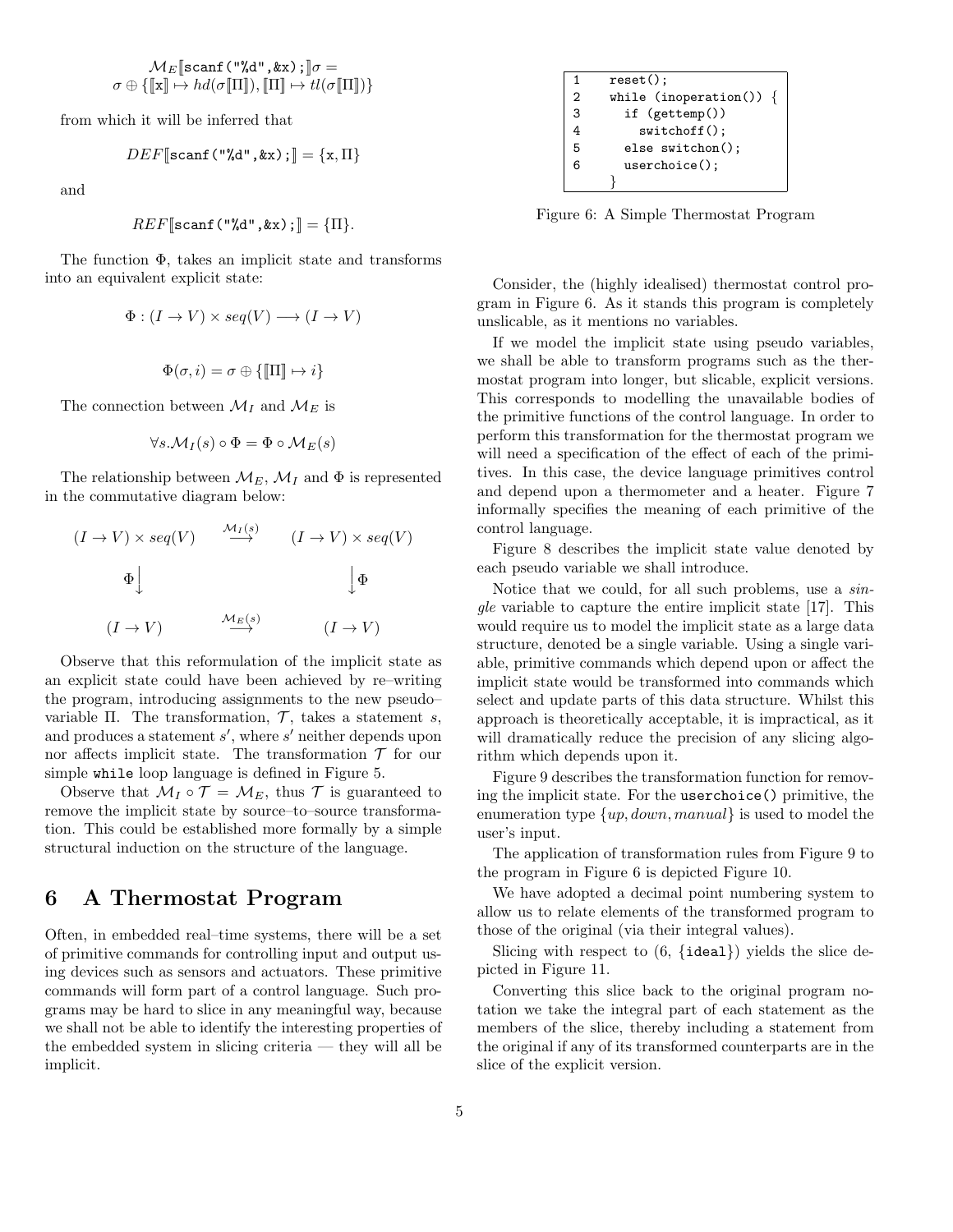$$
\mathcal{M}_E[\text{scanf}(\text{''\&d''}, k\text{x})\,;\,]\sigma = \\ \sigma \oplus \{[\![\text{x}]\!] \mapsto hd(\sigma[\![\Pi]\!]), [\![\Pi]\!] \mapsto tl(\sigma[\![\Pi]\!])\}
$$

from which it will be inferred that

$$
DEF[\texttt{scanf("%d",&x)}:] = \{x,\Pi\}
$$

and

$$
REF[\text{scanf}("%d", \&x);]=\{\Pi\}.
$$

The function Φ, takes an implicit state and transforms into an equivalent explicit state:

$$
\Phi: (I \to V) \times seq(V) \longrightarrow (I \to V)
$$

$$
\Phi(\sigma,i)=\sigma\oplus\{[\![\Pi]\!]\mapsto i\}
$$

The connection between  $\mathcal{M}_I$  and  $\mathcal{M}_E$  is

$$
\forall s. \mathcal{M}_I(s) \circ \Phi = \Phi \circ \mathcal{M}_E(s)
$$

The relationship between  $\mathcal{M}_E$ ,  $\mathcal{M}_I$  and  $\Phi$  is represented in the commutative diagram below:

$$
(I \to V) \times seq(V) \xrightarrow{M_I(s)} (I \to V) \times seq(V)
$$
  
\n
$$
\Phi \downarrow \qquad \qquad \downarrow \Phi
$$
  
\n
$$
(I \to V) \xrightarrow{M_E(s)} (I \to V)
$$

Observe that this reformulation of the implicit state as an explicit state could have been achieved by re–writing the program, introducing assignments to the new pseudo– variable Π. The transformation,  $\mathcal{T}$ , takes a statement s, and produces a statement  $s'$ , where  $s'$  neither depends upon nor affects implicit state. The transformation  $\mathcal T$  for our simple while loop language is defined in Figure 5.

Observe that  $\mathcal{M}_I \circ \mathcal{T} = \mathcal{M}_E$ , thus  $\mathcal{T}$  is guaranteed to remove the implicit state by source–to–source transformation. This could be established more formally by a simple structural induction on the structure of the language.

## 6 A Thermostat Program

Often, in embedded real–time systems, there will be a set of primitive commands for controlling input and output using devices such as sensors and actuators. These primitive commands will form part of a control language. Such programs may be hard to slice in any meaningful way, because we shall not be able to identify the interesting properties of the embedded system in slicing criteria — they will all be implicit.

| 1 | $reset()$ ;             |  |  |
|---|-------------------------|--|--|
| 2 | while (inoperation()) { |  |  |
| 3 | if $(gettemp())$        |  |  |
| 4 | $switchoff()$ ;         |  |  |
| 5 | else switchon();        |  |  |
| հ | $userchoice()$ ;        |  |  |
|   |                         |  |  |

Figure 6: A Simple Thermostat Program

Consider, the (highly idealised) thermostat control program in Figure 6. As it stands this program is completely unslicable, as it mentions no variables.

If we model the implicit state using pseudo variables, we shall be able to transform programs such as the thermostat program into longer, but slicable, explicit versions. This corresponds to modelling the unavailable bodies of the primitive functions of the control language. In order to perform this transformation for the thermostat program we will need a specification of the effect of each of the primitives. In this case, the device language primitives control and depend upon a thermometer and a heater. Figure 7 informally specifies the meaning of each primitive of the control language.

Figure 8 describes the implicit state value denoted by each pseudo variable we shall introduce.

Notice that we could, for all such problems, use a single variable to capture the entire implicit state [17]. This would require us to model the implicit state as a large data structure, denoted be a single variable. Using a single variable, primitive commands which depend upon or affect the implicit state would be transformed into commands which select and update parts of this data structure. Whilst this approach is theoretically acceptable, it is impractical, as it will dramatically reduce the precision of any slicing algorithm which depends upon it.

Figure 9 describes the transformation function for removing the implicit state. For the userchoice() primitive, the enumeration type  $\{up, down, manual\}$  is used to model the user's input.

The application of transformation rules from Figure 9 to the program in Figure 6 is depicted Figure 10.

We have adopted a decimal point numbering system to allow us to relate elements of the transformed program to those of the original (via their integral values).

Slicing with respect to  $(6, \{ideal\})$  yields the slice depicted in Figure 11.

Converting this slice back to the original program notation we take the integral part of each statement as the members of the slice, thereby including a statement from the original if any of its transformed counterparts are in the slice of the explicit version.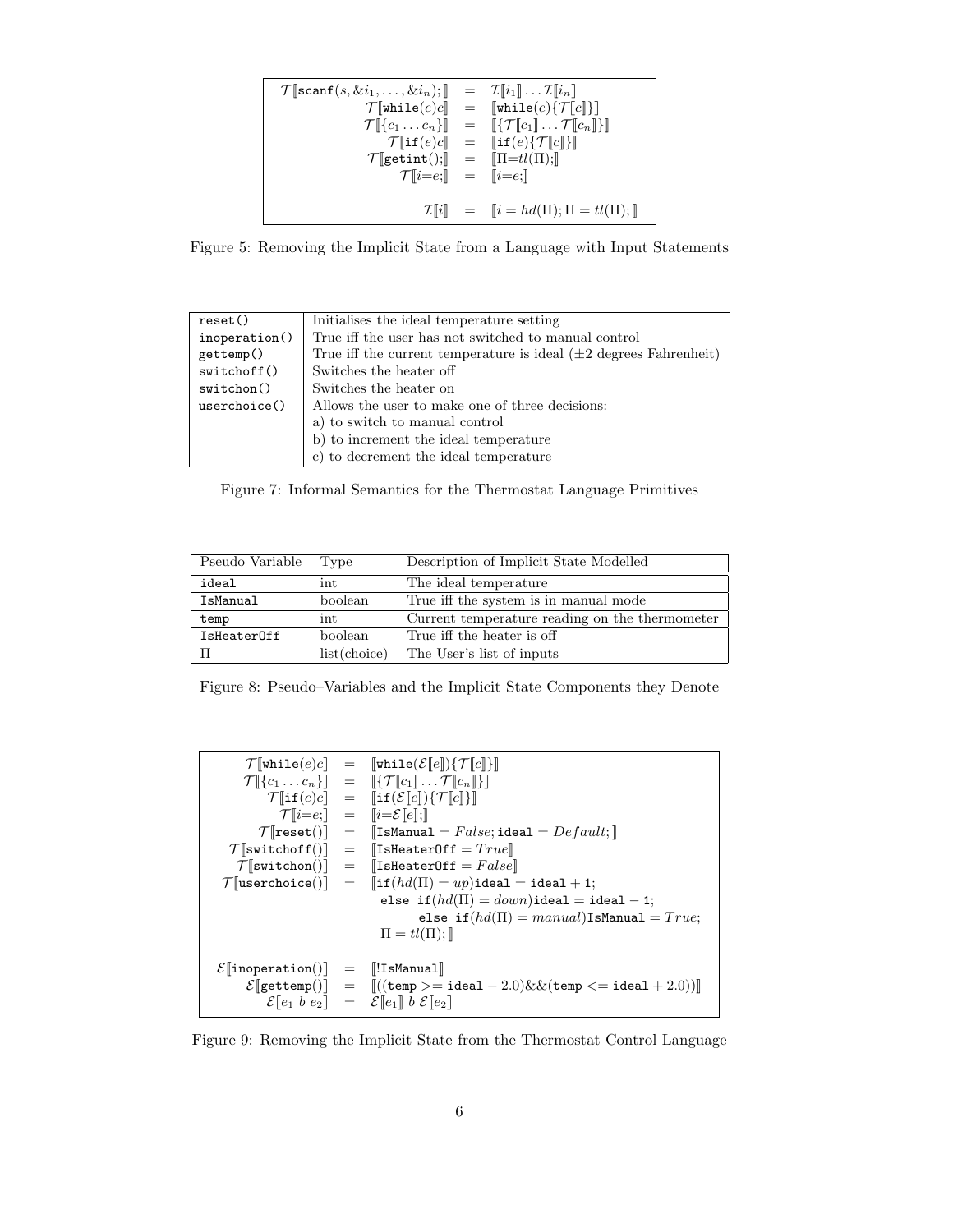```
\mathcal{T}[\texttt{scanf}(s, \& i_1, \ldots, \& i_n);] = \mathcal{I}[\![i_1]\!] \ldots \mathcal{I}[\![i_n]\!]\mathcal{T}[\![\text{while}(e)c]\!] = [\![\text{while}(e)\{\mathcal{T}[\![c]\}]\!] \ \mathcal{T}[\![\{c_1 \dots c_n\}]\!] = [\![\{\mathcal{T}[\![c_1]\!]\} \dots \mathcal{T}[\![c_n]\!]\!]= [\![{\{\mathcal{T}}[\![c_1]\!]\ldots {\mathcal{T}}[\![c_n]\!]\!] \} ]\mathcal{T}[\![\texttt{if}(e)c]\!] = [\![\texttt{if}(e)\{\mathcal{T}[c]\}]\!]<br>
\texttt{getint}();\!] = [\![\texttt{II}=tl(\texttt{II});\!]\mathcal{T}[\mathtt{getint}();]\quad =\mathcal{T}[i=e;]] = [i=e;]]\mathcal{I}[[i]] = [[i = hd(\Pi);\Pi = tl(\Pi);\]]
```
Figure 5: Removing the Implicit State from a Language with Input Statements

| reset()          | Initialises the ideal temperature setting                              |  |  |
|------------------|------------------------------------------------------------------------|--|--|
| inoperation()    | True iff the user has not switched to manual control                   |  |  |
| gettemp()        | True iff the current temperature is ideal $(\pm 2$ degrees Fahrenheit) |  |  |
| switchoff()      | Switches the heater off                                                |  |  |
| $s$ witchon $()$ | Switches the heater on                                                 |  |  |
| userchoice()     | Allows the user to make one of three decisions:                        |  |  |
|                  | a) to switch to manual control                                         |  |  |
|                  | b) to increment the ideal temperature                                  |  |  |
|                  | c) to decrement the ideal temperature                                  |  |  |

Figure 7: Informal Semantics for the Thermostat Language Primitives

| Pseudo Variable<br>Type |              | Description of Implicit State Modelled         |  |  |
|-------------------------|--------------|------------------------------------------------|--|--|
| ideal                   | int          | The ideal temperature                          |  |  |
| IsManual                | boolean      | True iff the system is in manual mode          |  |  |
| temp                    | int          | Current temperature reading on the thermometer |  |  |
| IsHeaterOff             | boolean      | True iff the heater is off                     |  |  |
|                         | list(choice) | The User's list of inputs                      |  |  |

Figure 8: Pseudo–Variables and the Implicit State Components they Denote

|                                                 | $\mathcal{T}[\text{while}(e)c] = [\text{while}(\mathcal{E}[e])\{\mathcal{T}[c]\}]$                                                               |
|-------------------------------------------------|--------------------------------------------------------------------------------------------------------------------------------------------------|
|                                                 | $\mathcal{T}[\![\{c_1 \dots c_n\}]\!] = [\![\{\mathcal{T}[\![c_1]\!]\ldots \mathcal{T}[\![c_n]\!]\}]\!]$                                         |
|                                                 | $\mathcal{T}[\![\mathbf{if}(e)c]\!] = [\![\mathbf{if}(\mathcal{E}[\![e]\!])\{\mathcal{T}[\![c]\!]\}\!]$                                          |
|                                                 | $\mathcal{T}[i=e;]] = [i=\mathcal{E}[e];]$                                                                                                       |
|                                                 | $\mathcal{T}$   reset()  =   IsManual= $False$ ;ideal= $Default;$                                                                                |
|                                                 | $\mathcal{T}$ [switchoff()] = [IsHeaterOff = $True$ ]                                                                                            |
|                                                 | $\mathcal{T}$ [switchon()] = [IsHeaterOff = $False$ ]                                                                                            |
|                                                 | $\mathcal{T}$ [userchoice()] = [if $(hd(\Pi) = up)$ ideal = ideal + 1;                                                                           |
|                                                 | else if $(hd(\Pi) = down)$ ideal = ideal - 1;                                                                                                    |
|                                                 | else if $(hd(\Pi) = manual)$ IsManual = $True;$                                                                                                  |
|                                                 | $\Pi = tl(\Pi);$                                                                                                                                 |
|                                                 |                                                                                                                                                  |
| $\mathcal{E}$   inoperation()  = $\ $ !IsManual |                                                                                                                                                  |
|                                                 | $\mathcal{E}[\text{gettemp}(\mathcal{E}]) = [((\text{temp} > = \text{ideal} - 2.0) \& \& (\text{temp} < = \text{ideal} + 2.0))]$                 |
|                                                 | $\mathcal{E}\llbracket e_1 \; b \; e_2 \rrbracket \;\; = \;\; \mathcal{E}\llbracket e_1 \rrbracket \; b \; \mathcal{E}\llbracket e_2 \rrbracket$ |

Figure 9: Removing the Implicit State from the Thermostat Control Language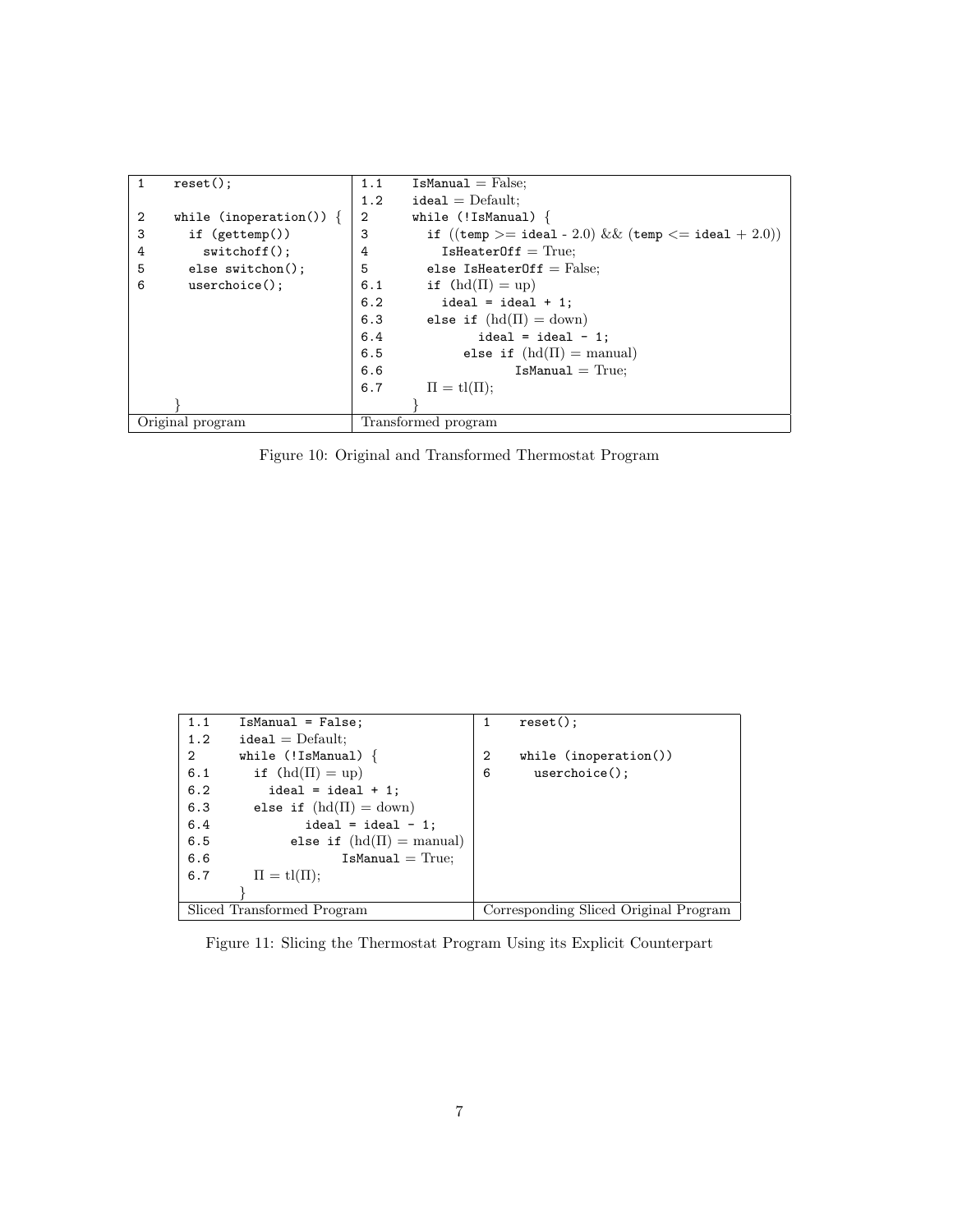| 1                | $reset()$ ;             | 1.1 | $IsManual = False;$                                    |
|------------------|-------------------------|-----|--------------------------------------------------------|
|                  |                         | 1.2 | $ideal = Default;$                                     |
| 2                | while (inoperation()) { | 2   | while $(!Ishanual)$ {                                  |
| 3                | if $(gettemp())$        | 3   | if $((temp >= ideal - 2.0) \&& (temp <= ideal + 2.0))$ |
| 4                | $switchoff()$ ;         | 4   | $IsHeartOff = True;$                                   |
| 5                | else switchon();        | 5   | else IsHeaterOff = $False$ ;                           |
| 6                | $userchoice()$ ;        | 6.1 | if $(hd(\Pi) = up)$                                    |
|                  |                         | 6.2 | $ideal = ideal + 1$ ;                                  |
|                  |                         | 6.3 | else if $(hd(\Pi) = down)$                             |
|                  |                         | 6.4 | ideal = ideal - 1;                                     |
|                  |                         | 6.5 | else if $(hd(\Pi)) = \text{manual}$                    |
|                  |                         | 6.6 | $IsManual = True;$                                     |
|                  |                         | 6.7 | $\Pi = tl(\Pi);$                                       |
|                  |                         |     |                                                        |
| Original program |                         |     | Transformed program                                    |

Figure 10: Original and Transformed Thermostat Program

| 1.1                        | $IsManual = False;$                 | 1 | reset()                               |
|----------------------------|-------------------------------------|---|---------------------------------------|
| 1.2                        | $ideal = Default;$                  |   |                                       |
| $\overline{2}$             | while $(!IsManual)$ {               | 2 | while $(inoperation())$               |
| 6.1                        | if $(hd(\Pi) = up)$                 | 6 | $userchoise()$ ;                      |
| 6.2                        | $ideal = ideal + 1$ ;               |   |                                       |
| 6.3                        | else if $(hd(\Pi) = down)$          |   |                                       |
| 6.4                        | ideal = ideal - 1;                  |   |                                       |
| 6.5                        | else if $(hd(\Pi)) = \text{manual}$ |   |                                       |
| 6.6                        | $IsManual = True;$                  |   |                                       |
| 6.7                        | $\Pi = \text{tl}(\Pi);$             |   |                                       |
|                            |                                     |   |                                       |
| Sliced Transformed Program |                                     |   | Corresponding Sliced Original Program |

Figure 11: Slicing the Thermostat Program Using its Explicit Counterpart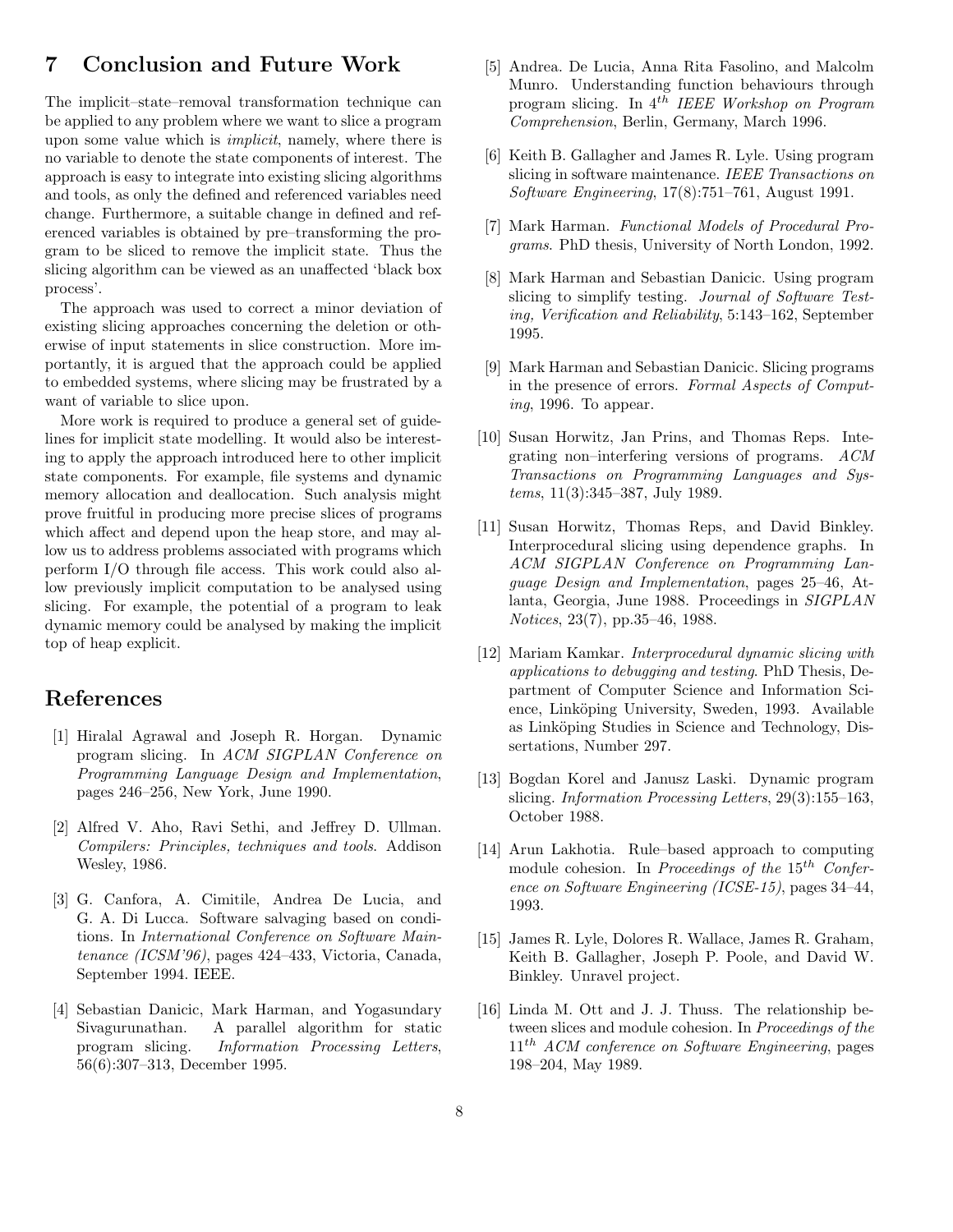## 7 Conclusion and Future Work

The implicit–state–removal transformation technique can be applied to any problem where we want to slice a program upon some value which is implicit, namely, where there is no variable to denote the state components of interest. The approach is easy to integrate into existing slicing algorithms and tools, as only the defined and referenced variables need change. Furthermore, a suitable change in defined and referenced variables is obtained by pre–transforming the program to be sliced to remove the implicit state. Thus the slicing algorithm can be viewed as an unaffected 'black box process'.

The approach was used to correct a minor deviation of existing slicing approaches concerning the deletion or otherwise of input statements in slice construction. More importantly, it is argued that the approach could be applied to embedded systems, where slicing may be frustrated by a want of variable to slice upon.

More work is required to produce a general set of guidelines for implicit state modelling. It would also be interesting to apply the approach introduced here to other implicit state components. For example, file systems and dynamic memory allocation and deallocation. Such analysis might prove fruitful in producing more precise slices of programs which affect and depend upon the heap store, and may allow us to address problems associated with programs which perform I/O through file access. This work could also allow previously implicit computation to be analysed using slicing. For example, the potential of a program to leak dynamic memory could be analysed by making the implicit top of heap explicit.

### References

- [1] Hiralal Agrawal and Joseph R. Horgan. Dynamic program slicing. In ACM SIGPLAN Conference on Programming Language Design and Implementation, pages 246–256, New York, June 1990.
- [2] Alfred V. Aho, Ravi Sethi, and Jeffrey D. Ullman. Compilers: Principles, techniques and tools. Addison Wesley, 1986.
- [3] G. Canfora, A. Cimitile, Andrea De Lucia, and G. A. Di Lucca. Software salvaging based on conditions. In International Conference on Software Maintenance (ICSM'96), pages 424–433, Victoria, Canada, September 1994. IEEE.
- [4] Sebastian Danicic, Mark Harman, and Yogasundary Sivagurunathan. A parallel algorithm for static program slicing. Information Processing Letters, 56(6):307–313, December 1995.
- [5] Andrea. De Lucia, Anna Rita Fasolino, and Malcolm Munro. Understanding function behaviours through program slicing. In 4th IEEE Workshop on Program Comprehension, Berlin, Germany, March 1996.
- [6] Keith B. Gallagher and James R. Lyle. Using program slicing in software maintenance. IEEE Transactions on Software Engineering, 17(8):751–761, August 1991.
- [7] Mark Harman. Functional Models of Procedural Programs. PhD thesis, University of North London, 1992.
- [8] Mark Harman and Sebastian Danicic. Using program slicing to simplify testing. Journal of Software Testing, Verification and Reliability, 5:143–162, September 1995.
- [9] Mark Harman and Sebastian Danicic. Slicing programs in the presence of errors. Formal Aspects of Computing, 1996. To appear.
- [10] Susan Horwitz, Jan Prins, and Thomas Reps. Integrating non–interfering versions of programs. ACM Transactions on Programming Languages and Systems, 11(3):345–387, July 1989.
- [11] Susan Horwitz, Thomas Reps, and David Binkley. Interprocedural slicing using dependence graphs. In ACM SIGPLAN Conference on Programming Language Design and Implementation, pages 25–46, Atlanta, Georgia, June 1988. Proceedings in SIGPLAN Notices, 23(7), pp.35–46, 1988.
- [12] Mariam Kamkar. Interprocedural dynamic slicing with applications to debugging and testing. PhD Thesis, Department of Computer Science and Information Science, Linköping University, Sweden, 1993. Available as Linköping Studies in Science and Technology, Dissertations, Number 297.
- [13] Bogdan Korel and Janusz Laski. Dynamic program slicing. Information Processing Letters, 29(3):155–163, October 1988.
- [14] Arun Lakhotia. Rule–based approach to computing module cohesion. In Proceedings of the  $15<sup>th</sup>$  Conference on Software Engineering (ICSE-15), pages 34–44, 1993.
- [15] James R. Lyle, Dolores R. Wallace, James R. Graham, Keith B. Gallagher, Joseph P. Poole, and David W. Binkley. Unravel project.
- [16] Linda M. Ott and J. J. Thuss. The relationship between slices and module cohesion. In Proceedings of the  $11^{th}$  ACM conference on Software Engineering, pages 198–204, May 1989.